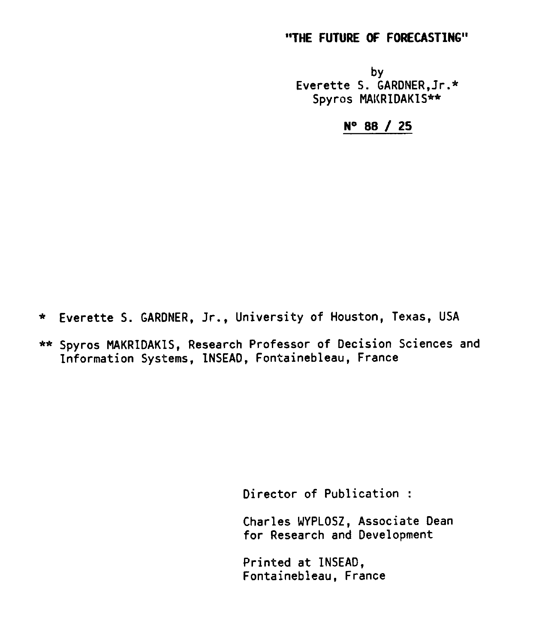# "THE FUTURE OF FORECASTING"

by Everette S. GARDNER,Jr.\* Spyros MAKRIDAKIS\*\*

N° 88 / 25

\* Everette S. GARDNER, Jr., University of Houston, Texas, USA

\*\* Spyros MAKRIDAKIS, Research Professor of Decision Sciences and Information Systems, INSEAD, Fontainebleau, France

Director of Publication :

Charles WYPLOSZ, Associate Dean for Research and Development

Printed at INSEAD, Fontainebleau, France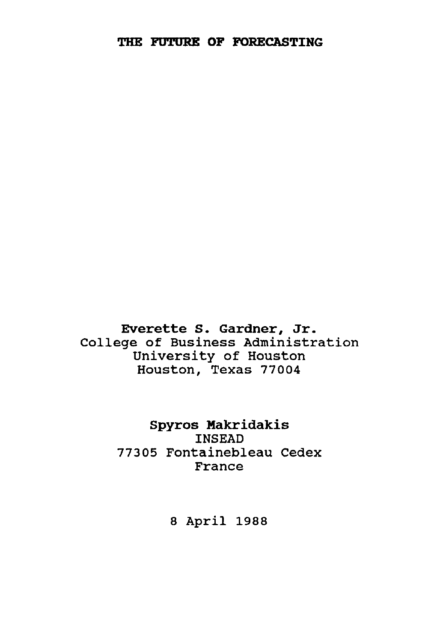Everette S. Gardner, Jr. College of Business Administration University of Houston Houston, Texas 77004

> **Spyros Makridakis** INSEAD 77305 Fontainebleau Cedex France

> > 8 April 1988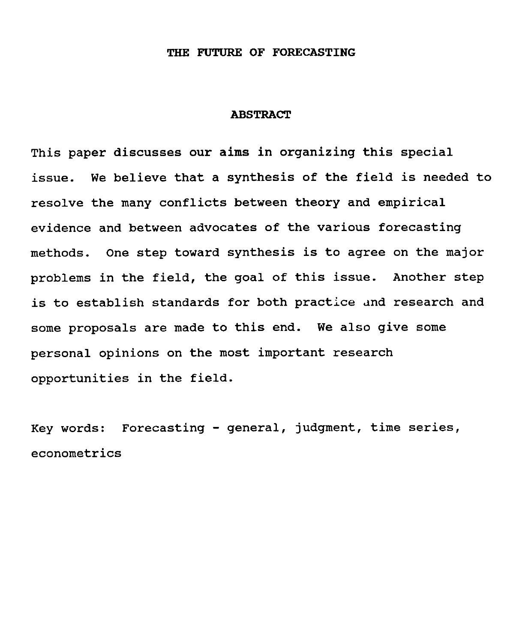## THE FUTURE OF FORECASTING

### ABSTRACT

This paper discusses our aims in organizing this special issue. We believe that a synthesis of the field is needed to resolve the many conflicts between theory and empirical evidence and between advocates of the various forecasting methods. One step toward synthesis is to agree on the major problems in the field, the goal of this issue. Another step is to establish standards for both practice and research and some proposals are made to this end. We also give some personal opinions on the most important research opportunities in the field.

Key words: Forecasting - general, judgment, time series, econometrics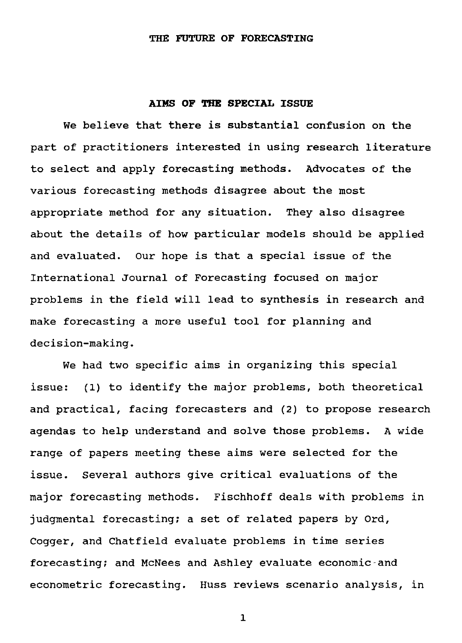## **THE FUTURE OF FORECASTING**

#### **AIMS OF THE SPECIAL ISSUE**

We believe that there is substantial confusion on the part of practitioners interested in using research literature to select and apply forecasting methods. Advocates of the various forecasting methods disagree about the most appropriate method for any situation. They also disagree about the details of how particular models should be applied and evaluated. Our hope is that a special issue of the International Journal of Forecasting focused on major problems in the field will lead to synthesis in research and make forecasting a more useful tool for planning and decision-making.

*We* had two specific aims in organizing this special issue: (1) to identify the major problems, both theoretical and practical, facing forecasters and (2) to propose research agendas to help understand and solve those problems. A wide range of papers meeting these aims were selected for the issue. Several authors give critical evaluations of the major forecasting methods. Fischhoff deals with problems in judgmental forecasting; a set of related papers by Ord, Cogger, and Chatfield evaluate problems in time series forecasting; and McNees and Ashley evaluate economic-and econometric forecasting. Huss reviews scenario analysis, in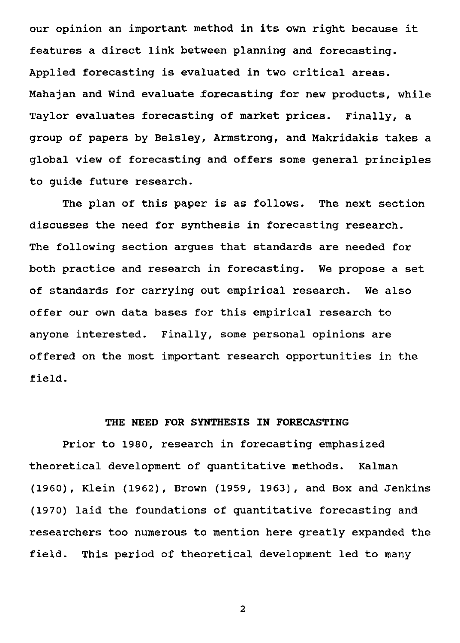our opinion an important method in its own right because it features a direct link between planning and forecasting. Applied forecasting is evaluated in two critical areas. Mahajan and Wind evaluate forecasting for new products, while Taylor evaluates forecasting of market prices. Finally, a group of papers by Belsley, Armstrong, and Makridakis takes a global view of forecasting and offers some general principles to guide future research.

The plan of this paper is as follows. The next section discusses the need for synthesis in forecasting research. The following section argues that standards are needed for both practice and research in forecasting. We propose a set of standards for carrying out empirical research. We also offer our own data bases for this empirical research to anyone interested. Finally, some personal opinions are offered on the most important research opportunities in the field.

## THE NEED FOR SYNTHESIS **IN** FORECASTING

Prior to 1980, research in forecasting emphasized theoretical development of quantitative methods. Kalman (1960), Klein (1962), Brown (1959, 1963), and Box and Jenkins (1970) laid the foundations of quantitative forecasting and researchers too numerous to mention here greatly expanded the field. This period of theoretical development led to many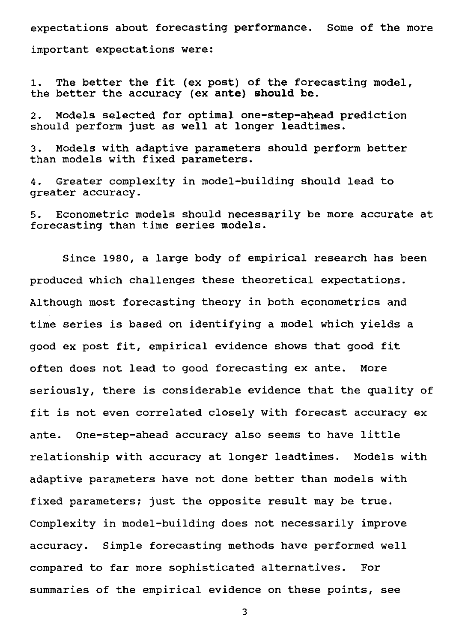expectations about forecasting performance. Some of the more

important expectations were:

1. The better the fit (ex post) of the forecasting model, the better the accuracy (ex ante) should be.

2. Models selected for optimal one-step-ahead prediction should perform just as well at longer leadtimes.

3. Models with adaptive parameters should perform better than models with fixed parameters.

4. Greater complexity in model-building should lead to greater accuracy.

5. Econometric models should necessarily be more accurate at forecasting than time series models.

Since 1980, a large body of empirical research has been produced which challenges these theoretical expectations. Although most forecasting theory in both econometrics and time series is based on identifying a model which yields a good **ex** post fit, empirical evidence shows that good fit often does not lead to good forecasting ex ante. More seriously, there is considerable evidence that the quality of fit is not even correlated closely with forecast accuracy ex ante. One-step-ahead accuracy also seems to have little relationship with accuracy at longer leadtimes. Models with adaptive parameters have not done better than models with fixed parameters; just the opposite result may be true. Complexity in model-building does not necessarily improve accuracy. Simple forecasting methods have performed well compared to far more sophisticated alternatives. For summaries of the empirical evidence on these points, see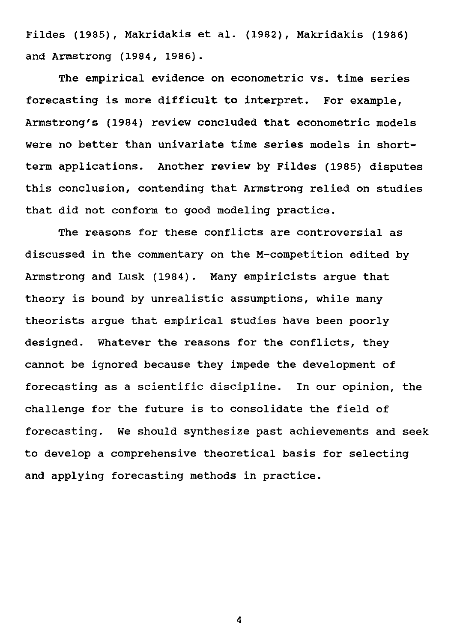Fildes (1985), Makridakis et al. (1982), Makridakis (1986) and Armstrong (1984, 1986).

The empirical evidence on econometric vs. time series forecasting is more difficult to interpret. For example, Armstrong's (1984) review concluded that econometric models were no better than univariate time series models in shortterm applications. Another review by Fildes (1985) disputes this conclusion, contending that Armstrong relied on studies that did not conform to good modeling practice.

The reasons for these conflicts are controversial as discussed in the commentary on the M-competition edited by Armstrong and Lusk (1984). Many empiricists argue that theory is bound by unrealistic assumptions, while many theorists argue that empirical studies have been poorly designed. Whatever the reasons for the conflicts, they cannot be ignored because they impede the development of forecasting as a scientific discipline. In our opinion, the challenge for the future is to consolidate the field of forecasting. We should synthesize past achievements and seek to develop a comprehensive theoretical basis for selecting and applying forecasting methods in practice.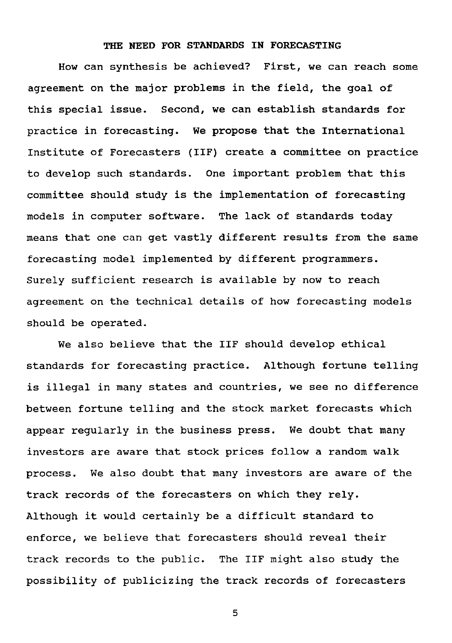## **THE NEED FOR STANDARDS IN FORECASTING**

How can synthesis be achieved? First, we can reach some agreement on the major problems in the field, the goal of this special issue. Second, we can establish standards for practice in forecasting. We propose that the International Institute of Forecasters (IIF) create a committee on practice to develop such standards. One important problem that this committee should study is the implementation of forecasting models in computer software. The lack of standards today means that one can get vastly different results from the same forecasting model implemented by different programmers. Surely sufficient research is available by now to reach agreement on the technical details of how forecasting models should be operated.

We also believe that the IIF should develop ethical standards for forecasting practice. Although fortune telling is illegal in many states and countries, we see no difference between fortune telling and the stock market forecasts which appear regularly in the business press. We doubt that many investors are aware that stock prices follow a random walk process. We also doubt that many investors are aware of the track records of the forecasters on which they rely. Although it would certainly be a difficult standard to enforce, we believe that forecasters should reveal their track records to the public. The IIF might also study the possibility of publicizing the track records of forecasters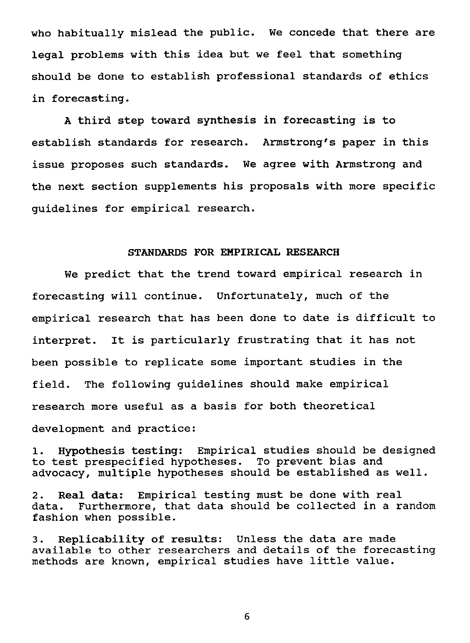who habitually mislead the public. We concede that there are legal problems with this idea but we feel that something should be done to establish professional standards of ethics in forecasting.

A third step toward **synthesis in** forecasting is to establish standards for research. Armstrong's paper in this issue proposes such standards. We agree with Armstrong and the next section supplements his proposals with more specific guidelines for empirical research.

## **STANDARDS FOR EMPIRICAL RESEARCH**

We predict that the trend toward empirical research in forecasting will continue. Unfortunately, much of the empirical research that has been done to date is difficult to interpret. It is particularly frustrating that it has not been possible to replicate some important studies in the field. The following guidelines should make empirical research more useful as a basis for both theoretical development and practice:

**1. Hypothesis testing:** Empirical studies should be designed to test prespecified hypotheses. To prevent bias and advocacy, multiple hypotheses should be established as well.

2. Real data: Empirical testing must be done with real data. Furthermore, that data should be collected in a ra Furthermore, that data should be collected in a random fashion when possible.

3. Replicability **of results:** Unless the data are made available to other researchers and details of the forecasting methods are known, empirical studies have little value.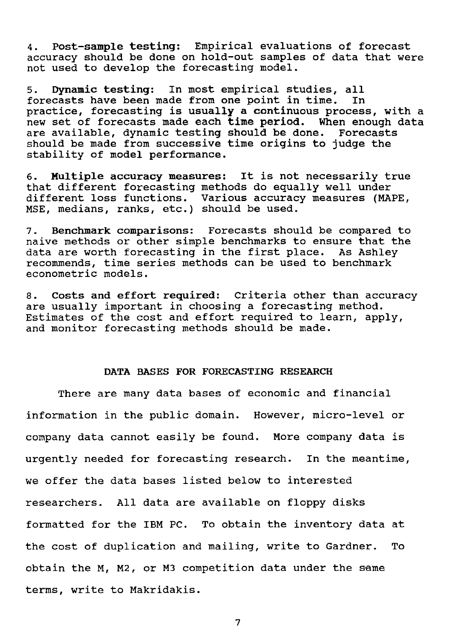**4. Post-sample testing:** Empirical evaluations of forecast accuracy should be done on hold-out samples of data that were not used to develop the forecasting model.

5. Dynamic testing: In most empirical studies, all forecasts have been made from one point in time. practice, forecasting is usually a continuous process, with a new set of forecasts made each time period. When enough data are available, dynamic testing should be done. Forecasts should be made from successive time origins to judge the stability of model performance.

**6. Multiple accuracy measures:** It is not necessarily true that different forecasting methods do equally well under different loss functions. Various accuracy measures (MAPE, MSE, medians, ranks, etc.) should be used.

**7. Benchmark** comparisons: Forecasts should be compared to naive methods or other simple benchmarks to ensure that the data are worth forecasting in the first place. As Ashley recommends, time series methods can be used to benchmark econometric models.

8. Costs and effort required: Criteria other than accuracy are usually important in choosing a forecasting method. Estimates of the cost and effort required to learn, apply, and monitor forecasting methods should be made.

## DATA BASES FOR FORECASTING RESEARCH

There are many data bases of economic and financial information in the public domain. However, micro-level or company data cannot easily be found. More company data is urgently needed for forecasting research. In the meantime, we offer the data bases listed below to interested researchers. All data are available on floppy disks formatted for the IBM PC. To obtain the inventory data at the cost of duplication and mailing, write to Gardner. To obtain the M, M2, or M3 competition data under the same terms, write to Makridakis.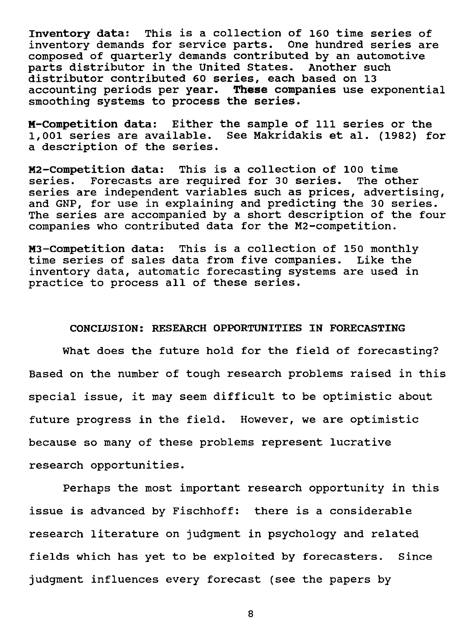Inventory data: This is a collection of 160 time series of inventory demands for service parts. One hundred series are composed of quarterly demands contributed by an automotive parts distributor in the United States. Another such distributor contributed 60 series, each based on 13 accounting periods per year. These companies use exponential smoothing systems to process the series.

M-Competition data: Either the sample of 111 series or the 1,001 series are available. See Makridakis et al. (1982) for a description of the series.

M2-Competition data: This is a collection of 100 time series. Forecasts are required for 30 series. The other series are independent variables such as prices, advertising, and GNP, for use in explaining and predicting the 30 series. The series are accompanied by a short description of the four companies who contributed data for the M2-competition.

M3-Competition data: This is a collection of 150 monthly time series of sales data from five companies. Like the inventory data, automatic forecasting systems are used in practice to process all of these series.

### CONCLUSION: RESEARCH OPPORTUNITIES IN FORECASTING

What does the future hold for the field of forecasting? Based on the number of tough research problems raised in this special issue, it may seem difficult to be optimistic about future progress in the field. However, we are optimistic because so many of these problems represent lucrative research opportunities.

Perhaps the most important research opportunity in this issue is advanced by Fischhoff: there is a considerable research literature on judgment in psychology and related fields which has yet to be exploited by forecasters. Since judgment influences every forecast (see the papers by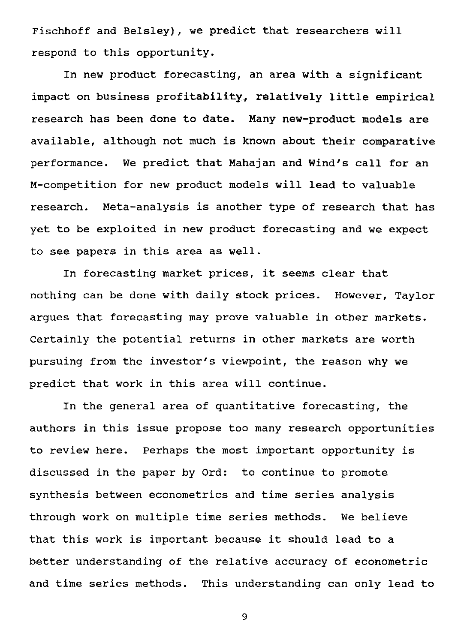Fischhoff and Belsley), we predict that researchers will respond to this opportunity.

In new product forecasting, an area with a significant impact on business profitability, relatively little empirical research has been done to date. Many new-product models are available, although not much is known about their comparative performance. We predict that Mahajan and Wind's call for an M-competition for new product models will lead to valuable research. Meta-analysis is another type of research that has yet to be exploited in new product forecasting and we expect to see papers in this area as well.

In forecasting market prices, it seems clear that nothing can be done with daily stock prices. However, Taylor argues that forecasting may prove valuable in other markets. Certainly the potential returns in other markets are worth pursuing from the investor's viewpoint, the reason why we predict that work in this area will continue.

In the general area of quantitative forecasting, the authors in this issue propose too many research opportunities to review here. Perhaps the most important opportunity is discussed in the paper by Ord: to continue to promote synthesis between econometrics and time series analysis through work on multiple time series methods. We believe that this work is important because it should lead to a better understanding of the relative accuracy of econometric and time series methods. This understanding can only lead to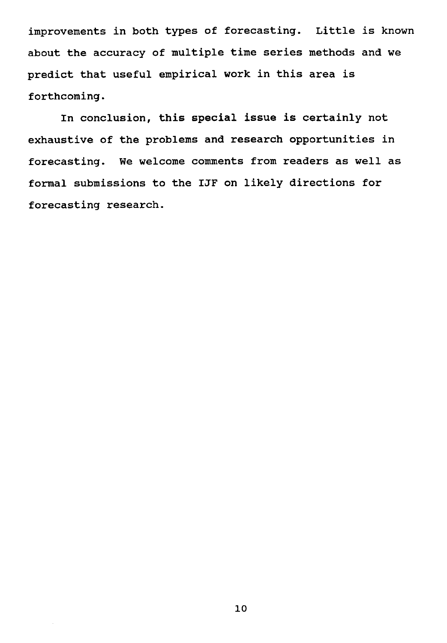improvements in both types of forecasting. Little is known about the accuracy of multiple time series methods and we predict that useful empirical work in this area is forthcoming.

In conclusion, this special issue is certainly not exhaustive of the problems and research opportunities in forecasting. We welcome comments from readers as well as formal submissions to the IJF on likely directions for forecasting research.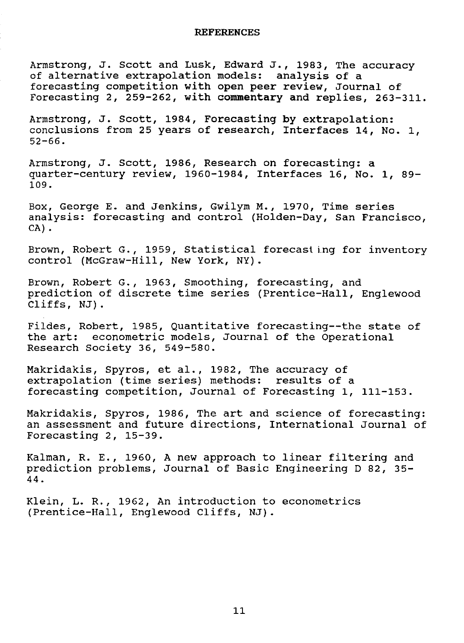Armstrong, J. Scott and Lusk, Edward J., 1983, The accuracy of alternative extrapolation models: analysis of a forecasting competition with open peer review, Journal of Forecasting 2, 259-262, with commentary and replies, 263-311.

Armstrong, J. Scott, 1984, Forecasting by extrapolation: conclusions from 25 years of research, Interfaces 14, No. 1, 52-66.

Armstrong, J. Scott, 1986, Research on forecasting: a quarter-century review, 1960-1984, Interfaces 16, No. 1, 89- 109.

Box, George E. and Jenkins, Gwilym M., 1970, Time series analysis: forecasting and control (Holden-Day, San Francisco, CA).

Brown, Robert *G.,* 1959, Statistical forecasting for inventory control (McGraw-Hill, New York, NY).

Brown, Robert G., 1963, Smoothing, forecasting, and prediction of discrete time series (Prentice-Hall, Englewood Cliffs, NJ).

Fildes, Robert, 1985, Quantitative forecasting--the state of the art: econometric models, Journal of the Operational Research Society 36, 549-580.

Makridakis, Spyros, et al., 1982, The accuracy of extrapolation (time series) methods: results of a forecasting competition, Journal of Forecasting 1, 111-153.

Makridakis, Spyros, 1986, The art and science of forecasting: an assessment and future directions, International Journal of Forecasting 2, 15-39.

Kalman, R. E., 1960, A new approach to linear filtering and prediction problems, Journal of Basic Engineering D 82, 35- 44.

Klein, L. R., 1962, An introduction to econometrics (Prentice-Hall, Englewood Cliffs, NJ).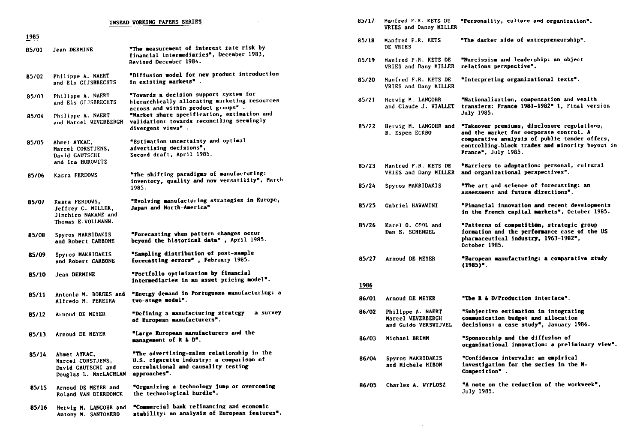|              |                                                                                   | INSEAD VORKING PAPERS SERIES                                                                                                                  | 85/17 | Manfred F.R. KETS DE<br>VRIES and Danny MILI                  |
|--------------|-----------------------------------------------------------------------------------|-----------------------------------------------------------------------------------------------------------------------------------------------|-------|---------------------------------------------------------------|
| 1985         |                                                                                   |                                                                                                                                               | 85/18 | Manfred F.R. KETS<br>DE VRIES                                 |
| 85/01        | Jean DERMINE                                                                      | "The measurement of interest rate risk by<br>financial intermediaries", December 1983,<br>Revised December 1984.                              | 85/19 | Manfred F.R. KETS DE<br>VRIES and Dany MILLE                  |
| <b>B5/02</b> | Philippe A. NAERT<br>and Els GIJSBRECHTS                                          | "Diffusion model for new product introduction<br>in existing markets".                                                                        | 85/20 | Manfred F.R. KETS DE<br>VRIES and Dany MILLI                  |
| 85/03        | Philippe A. NAERT<br>and Els GIJSBRECHTS                                          | "Towards a decision support system for<br>hierarchically allocating marketing resources<br>across and within product groups".                 | 85/21 | Herwig M. LANGOHR<br>and Claude J. VIALLI                     |
| 85/04        | Philippe A. NAERT<br>and Marcel WEVERBERGH                                        | "Market share specification, estimation and<br>validation: towards reconciling seemingly<br>divergent views".                                 | 85/22 | Hervig M. LANGOHR an<br>B. Espen ECKBO                        |
| 85/05        | Ahmet AYKAC,<br>Marcel CORSTJENS.<br>David GAUTSCHI<br>and Ira HOROWITZ           | "Estimation uncertainty and optimal<br>advertising decisions",<br>Second draft, April 1985.                                                   |       |                                                               |
| 85/06        | Kasra FERDOVS                                                                     | "The shifting paradigms of manufacturing:                                                                                                     | 85/23 | Manfred P.R. KETS DI<br>VRIES and Dany MILLI                  |
|              |                                                                                   | inventory, quality and now versatility", March<br>1985.                                                                                       | 85/24 | Spyros MAKRIDAKIS                                             |
| 85/07        | Kasra FERDOWS,<br>Jeffrey G. MILLER,<br>Jinchiro NAKANE and<br>Thomas E.VOLLMANN. | "Evolving manufacturing strategies in Europe,<br>Japan and North-America"                                                                     | 85/25 | Gabriel HAVAVINI                                              |
| 85/08        | Spyros MAKRIDAKIS<br>and Robert CARBONE                                           | "Porecasting when pattern changes occur<br>beyond the historical data", April 1985.                                                           | 85/26 | Karel O. COOL and<br>Dan E. SCHENDEL                          |
| 85/09        | Spyros MAKRIDAKIS<br>and Robert CARBONE                                           | "Sampling distribution of post-sample<br>forecasting errors", February 1985.                                                                  | 85/27 | Arnoud DE MEYER                                               |
| 85/10        | Jean DERMINE                                                                      | *Portfolio optimization by financial<br>intermediaries in an asset pricing model".                                                            | 1986  |                                                               |
| 85/11        | Antonio M. BORGES and<br>Alfredo M. PEREIRA                                       | "Energy demand in Portuguese manufacturing: a<br>tvo-stage model".                                                                            | 86/01 | Arnoud DE MEYER                                               |
| 85/12        | Arnoud DE MEYER                                                                   | "Defining a manufacturing strategy - a survey<br>of European manufacturers".                                                                  | 86/02 | Philippe A. NAERT<br>Marcel WEVERBERGH<br>and Guido VERSWIJVE |
| 85/13        | Arnoud DE MEYER                                                                   | "Large European manufacturers and the<br>management of $R$ & $Dn$ .                                                                           | 86/03 | Michael BRIMM                                                 |
| 85/14        | Ahmet AYKAC,<br>Marcel CORSTJENS,<br>David GAUTSCHI and<br>Douglas L. MacLACHLAN  | "The advertising-sales relationship in the<br>U.S. cigarette industry: a comparison of<br>correlational and causality testing<br>approaches". | 86/04 | Spyros MAKRIDAKIS<br>and Michèle HIBON                        |
| 85/15        | Arnoud DE MEYER and<br>Roland VAN DIERDONCK                                       | "Organizing a technology jump or overcoming<br>the technological hurdle".                                                                     | 86/05 | <b>Charles A. WYPLOSZ</b>                                     |
| 85/16        | Hervig M. LANGOHR and<br>Antony M. SANTOMERO                                      | "Commercial bank refinancing and economic<br>stability: an analysis of European features".                                                    |       |                                                               |

| 85/17 | Manfred F.R. KETS DE<br>VRIES and Danny MILLER                 | "Personality, culture and organization".                                                                                                                                                                          |
|-------|----------------------------------------------------------------|-------------------------------------------------------------------------------------------------------------------------------------------------------------------------------------------------------------------|
| 85/18 | Manfred F.R. KETS<br>DE VRIES                                  | "The darker side of entrepreneurship".                                                                                                                                                                            |
| 85/19 | Manfred F.R. KETS DE<br>VRIES and Dany MILLER                  | "Narcissism and leadership: an object<br>relations perspective".                                                                                                                                                  |
| 85/20 | Manfred F.R. KETS DE<br>VRIES and Dany MILLER                  | "Interpreting organizational texts".                                                                                                                                                                              |
| 85/21 | Herwig M. LANGOHR<br>and Claude J. VIALLET                     | "Nationalization, compensation and wealth<br>transfers: France 1981-1982" 1, Final version<br><b>July 1985.</b>                                                                                                   |
| 85/22 | Hervig M. LANGOHR and<br>B. Espen ECKBO                        | "Takeover premiums, disclosure regulations,<br>and the market for corporate control. A<br>comparative analysis of public tender offers,<br>controlling-block trades and minority buyout in<br>Prance", July 1985. |
| 85/23 | Manfred F.R. KETS DE<br>VRIES and Dany MILLER                  | "Barriers to adaptation: personal, cultural<br>and organizational perspectives".                                                                                                                                  |
| 85/24 | Spyros MAKRIDAKIS                                              | "The art and science of forecasting: an<br>assessment and future directions".                                                                                                                                     |
| 85/25 | Gabriel HAVAVINI                                               | "Financial innovation and recent developments<br>in the French capital markets", October 1985.                                                                                                                    |
| 85/26 | Karel O. COOL and<br>Dan E. SCHENDEL                           | "Patterns of competition, strategic group<br>formation and the performance case of the US<br>pharmaceutical industry, 1963-1982",<br>October 1985.                                                                |
| 85/27 | Arnoud DE MEYER                                                | "European manufacturing: a comparative study<br>$(1985)$ ".                                                                                                                                                       |
| 1986  |                                                                |                                                                                                                                                                                                                   |
| 86/01 | Arnoud DE MEYER                                                | "The R & D/Production interface".                                                                                                                                                                                 |
| 86/02 | Philippe A. NAERT<br>Marcel WEVERBERGH<br>and Guido VERSVIJVEL | "Subjective estimation in integrating<br>communication budget and allocation<br>decisions: a case study", January 1986.                                                                                           |
| 86/03 | Michael BRIMM                                                  | "Sponsorship and the diffusion of<br>organizational innovation: a preliminary viev".                                                                                                                              |
| 86/04 | Spyros MAKRIDAKIS<br>and Michèle HIBON                         | "Confidence intervals: an empirical<br>investigation for the series in the M-<br>Competition".                                                                                                                    |
| 86/05 | Charles A. WYPLOSZ                                             | "A note on the reduction of the workveek",<br>July 1985.                                                                                                                                                          |
|       |                                                                |                                                                                                                                                                                                                   |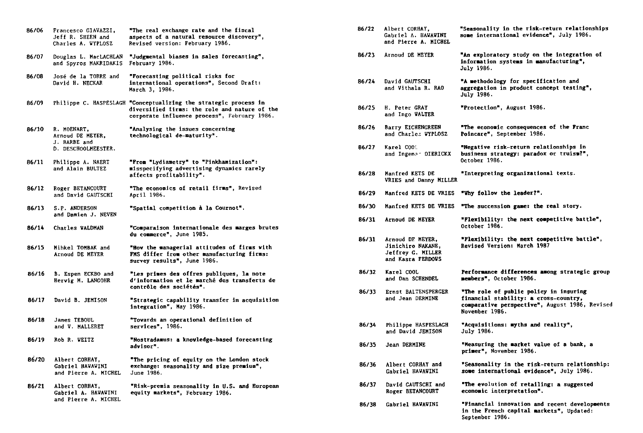| 86/06 | Francesco GIAVAZZI,<br>Jeff R. SHEEN and<br>Charles A. WYPLOSZ         | "The real exchange rate and the fiscal<br>aspects of a natural resource discovery",<br>Revised version: February 1986.                                            |
|-------|------------------------------------------------------------------------|-------------------------------------------------------------------------------------------------------------------------------------------------------------------|
| 86/07 | Douglas L. MacLACHLAN<br>and Spyros MAKRIDAKIS                         | "Judgmental biases in sales forecasting",<br>February 1986.                                                                                                       |
| 86/08 | José de la TORRE and<br>David H. NECKAR                                | "Forecasting political risks for<br>international operations", Second Draft:<br>March 3. 1986.                                                                    |
| 86/09 |                                                                        | Philippe C. HASPESLAGH "Conceptualizing the strategic process in<br>diversified firms: the role and nature of the<br>corporate influence process", February 1986. |
| 86/10 | R. MOENART,<br>Arnoud DE MEYER,<br>J. BARBE and<br>D. DESCHOOLMEESTER. | "Analysing the issues concerning<br>technological de-maturity".                                                                                                   |
| 86/11 | Philippe A. NAERT<br>and Alain BULTEZ                                  | "Prom "Lydiametry" to "Pinkhamization":<br>misspecifying advertising dynamics rarely<br>affects profitability".                                                   |
| 86/12 | Roger BETANCOURT<br>and David GAUTSCHI                                 | "The economics of retail firms", Revised<br>April 1986.                                                                                                           |
| 86/13 | S.P. ANDERSON<br>and Damien J. NEVEN                                   | "Spatial competition à la Cournot".                                                                                                                               |
| 86/14 | <b>Charles WALDMAN</b>                                                 | "Comparaison internationale des marges brutes<br>du commerce", June 1985.                                                                                         |
| 86/15 | Mihkel TOMBAK and<br>Arnoud DE MEYER                                   | "How the managerial attitudes of firms with<br>FMS differ from other manufacturing firms:<br>survey results", June 1986.                                          |
| 86/16 | B. Espen ECKBO and<br>Hervig M. LANGOHR                                | "Les primes des offres publiques, la note<br>d'information et le marché des transferts de<br>contrôle des sociétés".                                              |
| 86/17 | David B. JEMISON                                                       | "Strategic capability transfer in acquisition<br>integration", May 1986.                                                                                          |
| 86/18 | James TEBOUL<br>and V. MALLERET                                        | "Towards an operational definition of<br>services", 1986.                                                                                                         |
| 86/19 | Rob R. WEITZ                                                           | "Nostradamus: a knowledge-based forecasting<br>advisor".                                                                                                          |
| 86/20 | Albert CORHAY,<br>Gabriel HAWAWINI<br>and Pierre A. MICHEL             | "The pricing of equity on the London stock<br>exchange: seasonality and size premium",<br>June 1986.                                                              |
| 86/21 | Albert CORHAY,<br>Gabriel A. HAVAVINI<br>and Pierre A. MICHEL          | "Risk-premia seasonality in U.S. and European<br>equity markets", February 1986.                                                                                  |
|       |                                                                        |                                                                                                                                                                   |

| 86/22 | Albert CORHAY,<br>Gabriel A. HAVAVINI<br>and Pierre A. MICHEL                          | "Seasonality in the risk-return relationships<br>some international evidence", July 1986.                                                           |
|-------|----------------------------------------------------------------------------------------|-----------------------------------------------------------------------------------------------------------------------------------------------------|
| 86/23 | Arnoud DE MEYER                                                                        | "An exploratory study on the integration of<br>information systems in manufacturing",<br>July 1986.                                                 |
| 86/24 | David GAUTSCHI<br>and Vithala R. RAO                                                   | "A methodology for specification and<br>aggregation in product concept testing",<br><b>July 1986.</b>                                               |
| 86/25 | <b>H. Peter GRAY</b><br>and Ingo WALTER                                                | "Protection", August 1986.                                                                                                                          |
| 86/26 | Barry EICHENGREEN<br>and Charles WYPLOSZ                                               | "The economic consequences of the Franc<br>Poincare", September 1986.                                                                               |
| 86/27 | Karel COO1<br>and Ingema - DIERICKX                                                    | "Negative risk-return relationships in<br>business strategy: paradox or truism?",<br>October 1986.                                                  |
| 86/28 | Manfred KETS DE<br>VRIES and Danny MILLER                                              | "Interpreting organizational texts.                                                                                                                 |
| 86/29 | Manfred KETS DE VRIES                                                                  | "Vhy follow the leader?".                                                                                                                           |
| 86/30 | Manfred KETS DE VRIES                                                                  | "The succession game: the real story.                                                                                                               |
| 86/31 | Arnoud DE MEYER                                                                        | "Plexibility: the next competitive battle",<br>October 1986.                                                                                        |
| 86/31 | Arnoud DE MEYER,<br>Jinichiro NAKANE,<br><b>Jeffrey G. MILLER</b><br>and Kasra FERDOVS | "Plexibility: the next competitive battle",<br><b>Revised Version: March 1987</b>                                                                   |
| 86/32 | Karel COOL<br>and Dan SCHENDEL                                                         | Performance differences among strategic group<br>members", October 1986.                                                                            |
| 86/33 | Ernst BALTENSPERGER<br>and Jean DERMINE                                                | "The role of public policy in insuring<br>financial stability: a cross-country,<br>comparative perspective", August 1986, Revised<br>November 1986. |
| 86/34 | Philippe HASPESLAGH<br>and David JEMISON                                               | "Acquisitions: myths and reality",<br><b>July 1986.</b>                                                                                             |
| 86/35 | Jean DERMINE                                                                           | "Measuring the market value of a bank, a<br>primer", November 1986.                                                                                 |
| 86/36 | Albert CORHAY and<br>Gabriel HAWAWINI                                                  | "Seasonality in the risk-return relationship:<br>some international evidence", July 1986.                                                           |
| 86/37 | David GAUTSCHI and<br>Roger BETANCOURT                                                 | "The evolution of retailing: a suggested<br>economic interpretation".                                                                               |
| 86/38 | <b>Gabriel HAVAVINI</b>                                                                | "Financial innovation and recent developments<br>in the French capital markets", Updated:<br>September 1986.                                        |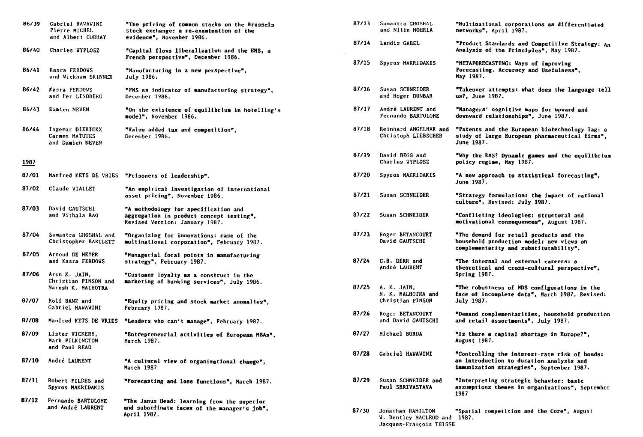| 86/39 | Gabriel HAVAVINI<br>Pierre MICHEL                           | "The pricing of common stocks on the Brussels<br>stock exchange: a re-examination of the                           | 87/13 | Sumantra GHOSHAL<br>and Nitin NOHRIA                                         | "Multinational corporations as differentiated<br>networks", April 1987.                                                                |
|-------|-------------------------------------------------------------|--------------------------------------------------------------------------------------------------------------------|-------|------------------------------------------------------------------------------|----------------------------------------------------------------------------------------------------------------------------------------|
| 86/40 | and Albert CORHAY<br>Charles WYPLOSZ                        | evidence", November 1986.<br>"Capital flows liberalization and the EMS, a                                          | 87/14 | Landis GABEL                                                                 | *Product Standards and Competitive Strategy: An<br>Analysis of the Principles", May 1987.                                              |
| 86/41 | Kasra FERDOVS<br>and Vickham SKINNER                        | French perspective", December 1986.<br>"Manufacturing in a new perspective",<br>July 1986.                         | 87/15 | Spyros MAKRIDAKIS                                                            | "METAPORECASTING: Ways of improving<br>Forecasting. Accuracy and Usefulness",<br>May 1987.                                             |
| 86/42 | Kasra FERDOVS<br>and Per LINDBERG                           | "PMS as indicator of manufacturing strategy",<br>December 1986.                                                    | 87/16 | Susan SCHNEIDER<br>and Roger DUNBAR                                          | "Takeover attempts: what does the language tell<br>us?, June 1987.                                                                     |
| 86/43 | Damien NEVEN                                                | "On the existence of equilibrium in hotelling's<br>model", November 1986.                                          | 87/17 | André LAURENT and<br>Fernando BARTOLOME                                      | "Managers' cognitive maps for upvard and<br>downward relationships", June 1987.                                                        |
| 86/44 | Ingemar DIERICKX<br>Carmen MATUTES<br>and Damien NEVEN      | "Value added tax and competition",<br>December 1986.                                                               | 87/18 | Reinhard ANGELMAR and<br>Christoph LIEBSCHER                                 | "Patents and the European biotechnology lag: a<br>study of large European pharmaceutical firms",<br>June 1987.                         |
| 1987  |                                                             |                                                                                                                    | 87/19 | David BEGG and<br>Charles WYPLOSZ                                            | "Why the EMS? Dynamic games and the equilibrium<br>policy regime, May 1987.                                                            |
| 87/01 |                                                             | Manfred KETS DE VRIES "Prisoners of leadership".                                                                   | 87/20 | Spyros MAKRIDAKIS                                                            | "A new approach to statistical forecasting",<br><b>June 1987.</b>                                                                      |
| 87/02 | Claude VIALLET                                              | "An empirical investigation of international<br>asset pricing", November 1986.                                     | 87/21 | Susan SCHNEIDER                                                              | "Strategy formulation: the impact of national<br>culture", Revised: July 1987.                                                         |
| 87/03 | David GAUTSCHI<br>and Vithala RAO                           | "A methodology for specification and<br>aggregation in product concept testing",<br>Revised Version: January 1987. | 87/22 | Susan SCHNEIDER                                                              | "Conflicting ideologies: structural and<br>motivational consequences", August 1987.                                                    |
| 87/04 | Sumantra GHOSHAL and<br>Christopher BARTLETT                | "Organizing for innovations: case of the<br>multinational corporation", February 1987.                             | 87/23 | Roger BETANCOURT<br>David CAUTSCHI                                           | "The demand for retail products and the<br>household production model: new views on<br>complementarity and substitutability".          |
| 87/05 | Arnoud DE MEYER<br>and Kasra FERDOWS                        | "Managerial focal points in manufacturing<br>strategy", February 1987.                                             | 87/24 | C.B. DERR and<br>André LAURENT                                               | "The internal and external careers: a<br>theoretical and cross-cultural perspective",                                                  |
| 87/06 | Arun K. JAIN,<br>Christian PINSON and<br>Naresh K. MALHOTRA | "Customer loyalty as a construct in the<br>marketing of banking services", July 1986.                              | 87/25 | A. K. JAIN,                                                                  | Spring 1987.<br>"The robustness of MDS configurations in the                                                                           |
| 87/07 | Rolf BANZ and<br>Gabriel HAWAWINI                           | "Equity pricing and stock market anomalies".<br>February 1987.                                                     |       | N. K. MALHOTRA and<br>Christian PINSON                                       | face of incomplete data", March 1987, Revised:<br>July 1987.                                                                           |
| 87/08 |                                                             | Manfred KETS DE VRIES "Leaders who can't manage", February 1987.                                                   | 87/26 | Roger BETANCOURT<br>and David GAUTSCHI                                       | "Demand complementarities, household production<br>and retail assortments", July 1987.                                                 |
| 87/09 | Lister VICKERY,<br>Mark PILKINGTON<br>and Paul READ         | "Entrepreneurial activities of European MBAs",<br>March 1987.                                                      | 87/27 | Michael BURDA                                                                | "Is there a capital shortage in Europe?",<br>August 1987.                                                                              |
| 87/10 | André LAURENT                                               | "A cultural view of organizational change",<br>March 1987                                                          | 87/28 | Gabriel HAVAVINI                                                             | "Controlling the interest-rate risk of bonds:<br>an introduction to duration analysis and<br>immunization strategies", September 1987. |
| 87/11 | Robert FILDES and<br>Spyros MAKRIDAKIS                      | "Porecasting and loss functions", March 1987.                                                                      | 87/29 | Susan SCHNEIDER and<br><b>Paul SHRIVASTAVA</b>                               | "Interpreting strategic behavior: basic<br>assumptions themes in organizations". September<br>1987                                     |
| 87/12 | Fernando BARTOLOME<br>and André LAURENT                     | "The Janus Head: learning from the superior<br>and subordinate faces of the manager's job".<br>April 1987.         | 87/30 | Jonathan HAMILTON<br>W. Bentley MACLEOD and 1987.<br>Jacques-François THISSE | "Spatial competition and the Core", August                                                                                             |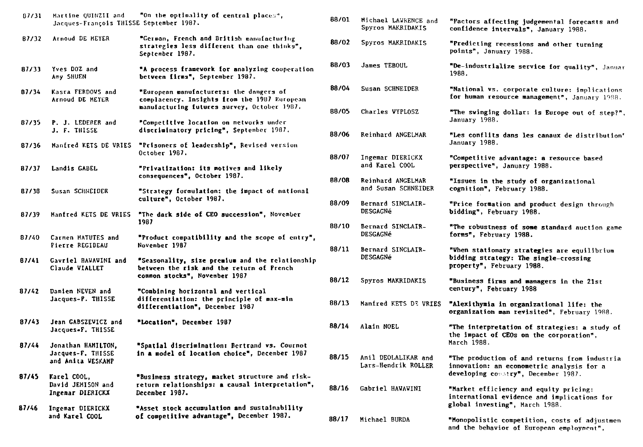| 87/31 | Martine QUINZII and<br>Jacques-François THISSE September 1987. | "On the optimality of central places",                                                                                                 | 88/01          | Michael LAWRENCE and<br>Spyros MAKRIDAKIS                 | "Pactors affecting judgemental forecasts and<br>confidence intervals", January 1988.                                         |
|-------|----------------------------------------------------------------|----------------------------------------------------------------------------------------------------------------------------------------|----------------|-----------------------------------------------------------|------------------------------------------------------------------------------------------------------------------------------|
| B7/32 | Arnoud DE MEYER                                                | "German, French and British manufacturing<br>strategies less different than one thinks",<br>September 1987.                            | 88/02          | Spyros MAKRIDAKIS                                         | "Predicting recessions and other turning<br>points", January 1988.                                                           |
| 87/33 | Yves DOZ and<br>Amy SHUEN                                      | "A process framework for analyzing cooperation<br>betveen firms", September 1987.                                                      | 88/03          | <b>James TEBOUL</b>                                       | "De-industrialize service for quality", Januar<br>1988.                                                                      |
| 87/34 | Kasra FERDOVS and<br>Arnoud DE HEYER                           | "European manufacturers: the dangers of<br>complacency. Insights from the 1987 European<br>manufacturing futures survey, October 1987. | 88/04          | Susan SCHNEIDER                                           | "National vs. corporate culture: implications<br>for human resource management", January 1988.                               |
| 87/35 | P. J. LEDERER and<br>J. F. THISSE                              | "Competitive location on netvorks under<br>discriminatory pricing", September 1987.                                                    | 88/05          | Charles WYPLOSZ                                           | "The swinging dollar: is Europe out of step?",<br>January 1988.                                                              |
| 87/36 | Manfred KETS DE VRIES                                          | "Prisoners of leadership", Revised version<br>October 1987.                                                                            | 88/06          | Reinhard ANGELMAR                                         | "Les conflits dans les canaux de distribution'<br>January 1988.                                                              |
| 87/37 | Landis GABEL                                                   | "Privatization: its motives and likely<br>consequences", October 1987.                                                                 | 88/07          | Ingemar DIERICKX<br>and Karel COOL                        | "Competitive advantage: a resource based<br>perspective", January 1988.                                                      |
| 87/38 | Susan SCHNEIDER                                                | "Strategy formulation: the impact of national<br>culture", October 1987.                                                               | 88/08<br>88/09 | Reinhard ANGELMAR<br>and Susan SCHNEIDER                  | "Issues in the study of organizational<br>cognition", February 1988.                                                         |
| 87/39 | Manfred KETS DE VRIES                                          | "The dark side of CEO succession", November<br>1987                                                                                    | 88/10          | Bernard SINCLAIR-<br><b>DESGAGNé</b><br>Bernard SINCLAIR- | "Price formation and product design through<br>bidding", February 1988.                                                      |
| 87/40 | Carmen MATUTES and<br>Pierre REGIBEAU                          | "Product compatibility and the scope of entry",<br>November 1987                                                                       | 88/11          | <b>DESGAGNé</b><br>Bernard SINCLAIR-                      | "The robustness of some standard auction game<br>forms", February 1988.<br>"When stationary strategies are equilibrium       |
| 87/41 | Gavriel HAVAVINI and<br>Claude VIALLET                         | "Seasonality, size premium and the relationship<br>between the risk and the return of Prench                                           |                | <b>DESGAGNé</b>                                           | bidding strategy: The single-crossing<br>property", February 1988.                                                           |
| 87/42 | Damien NEVEN and                                               | common stocks", November 1987<br>"Combining horizontal and vertical                                                                    | 88/12          | Spyros MAKRIDAKIS                                         | "Business firms and managers in the 21st<br>century", February 1988                                                          |
|       | Jacques-P. THISSE                                              | differentiation: the principle of max-min<br>differentiation", December 1987                                                           | 88/13          | Manfred KETS D3 VRIES                                     | "Alexithymia in organizational life: the<br>organization man revisited", February 1988.                                      |
| 87/43 | Jean GABSZEVICZ and<br>Jacques-F. THISSE                       | "Location", December 1987                                                                                                              | 88/14          | Alain NOEL                                                | "The interpretation of strategies: a study of<br>the impact of CEOs on the corporation",<br>March 1988.                      |
| 87/44 | Jonathan HAMILTON,<br>Jacques-F. THISSE<br>and Anita VESKAMP   | "Spatial discrimination: Bertrand vs. Cournot<br>in a model of location choice", December 1987                                         | 88/15          | Anil DEOLALIKAR and<br>Lars-Hendrik ROLLER                | "The production of and returns from industria<br>innovation: an econometric analysis for a                                   |
| 87/45 | Karel COOL,<br>David JEMISON and<br>Ingemar DIERICKX           | "Business strategy, market structure and risk-<br>return relationships: a causal interpretation",<br>December 1987.                    | 88/16          | Gabriel HAWAWINI                                          | developing constry", December 1987.<br>"Market efficiency and equity pricing:<br>international evidence and implications for |
| 87/46 | Ingemar DIERICKX<br>and Karel COOL                             | "Asset stock accumulation and sustainability<br>of competitive advantage", December 1987.                                              | 88/17          | Michael BURDA                                             | global investing", March 1988.<br>"Monopolistic competition, costs of adjustmen<br>and the behavior of European employment", |